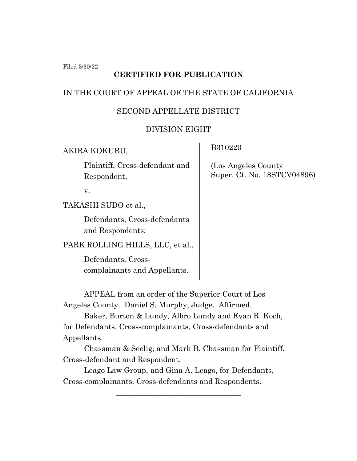Filed 3/30/22

# **CERTIFIED FOR PUBLICATION**

### IN THE COURT OF APPEAL OF THE STATE OF CALIFORNIA

### SECOND APPELLATE DISTRICT

### DIVISION EIGHT

AKIRA KOKUBU,

Plaintiff, Cross-defendant and Respondent,

v.

TAKASHI SUDO et al.,

Defendants, Cross-defendants and Respondents;

PARK ROLLING HILLS, LLC, et al.,

Defendants, Crosscomplainants and Appellants. B310220

 (Los Angeles County Super. Ct. No. 18STCV04896)

APPEAL from an order of the Superior Court of Los Angeles County. Daniel S. Murphy, Judge. Affirmed.

Baker, Burton & Lundy, Albro Lundy and Evan R. Koch, for Defendants, Cross-complainants, Cross-defendants and Appellants.

Chassman & Seelig, and Mark B. Chassman for Plaintiff, Cross-defendant and Respondent.

\_\_\_\_\_\_\_\_\_\_\_\_\_\_\_\_\_\_\_\_\_\_\_\_\_\_\_\_\_\_\_\_\_

Leago Law Group, and Gina A. Leago, for Defendants, Cross-complainants, Cross-defendants and Respondents.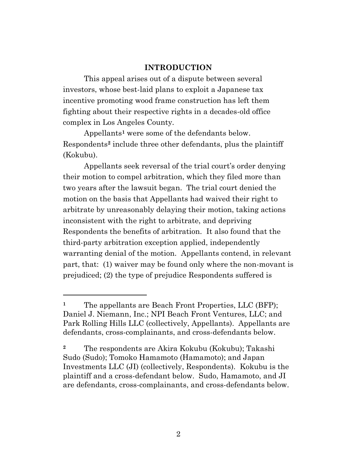#### **INTRODUCTION**

This appeal arises out of a dispute between several investors, whose best-laid plans to exploit a Japanese tax incentive promoting wood frame construction has left them fighting about their respective rights in a decades-old office complex in Los Angeles County*.*

Appellants**<sup>1</sup>** were some of the defendants below. Respondents**<sup>2</sup>** include three other defendants, plus the plaintiff (Kokubu).

Appellants seek reversal of the trial court's order denying their motion to compel arbitration, which they filed more than two years after the lawsuit began. The trial court denied the motion on the basis that Appellants had waived their right to arbitrate by unreasonably delaying their motion, taking actions inconsistent with the right to arbitrate, and depriving Respondents the benefits of arbitration. It also found that the third-party arbitration exception applied, independently warranting denial of the motion. Appellants contend, in relevant part, that: (1) waiver may be found only where the non-movant is prejudiced; (2) the type of prejudice Respondents suffered is

<sup>&</sup>lt;sup>1</sup> The appellants are Beach Front Properties, LLC (BFP); Daniel J. Niemann, Inc.; NPI Beach Front Ventures, LLC; and Park Rolling Hills LLC (collectively, Appellants). Appellants are defendants, cross-complainants, and cross-defendants below.

**<sup>2</sup>** The respondents are Akira Kokubu (Kokubu); Takashi Sudo (Sudo); Tomoko Hamamoto (Hamamoto); and Japan Investments LLC (JI) (collectively, Respondents). Kokubu is the plaintiff and a cross-defendant below. Sudo, Hamamoto, and JI are defendants, cross-complainants, and cross-defendants below.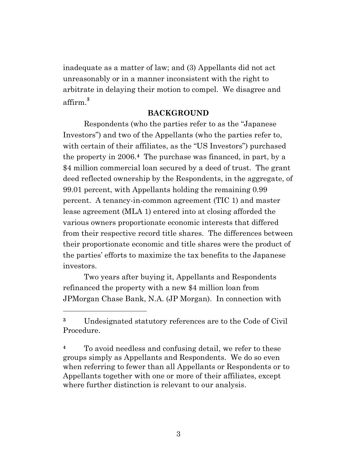inadequate as a matter of law; and (3) Appellants did not act unreasonably or in a manner inconsistent with the right to arbitrate in delaying their motion to compel. We disagree and affirm.**<sup>3</sup>**

#### **BACKGROUND**

Respondents (who the parties refer to as the "Japanese Investors") and two of the Appellants (who the parties refer to, with certain of their affiliates, as the "US Investors") purchased the property in 2006.**<sup>4</sup>** The purchase was financed, in part, by a \$4 million commercial loan secured by a deed of trust. The grant deed reflected ownership by the Respondents, in the aggregate, of 99.01 percent, with Appellants holding the remaining 0.99 percent. A tenancy-in-common agreement (TIC 1) and master lease agreement (MLA 1) entered into at closing afforded the various owners proportionate economic interests that differed from their respective record title shares. The differences between their proportionate economic and title shares were the product of the parties' efforts to maximize the tax benefits to the Japanese investors.

Two years after buying it, Appellants and Respondents refinanced the property with a new \$4 million loan from JPMorgan Chase Bank, N.A. (JP Morgan). In connection with

**<sup>3</sup>** Undesignated statutory references are to the Code of Civil Procedure.

**<sup>4</sup>** To avoid needless and confusing detail, we refer to these groups simply as Appellants and Respondents. We do so even when referring to fewer than all Appellants or Respondents or to Appellants together with one or more of their affiliates, except where further distinction is relevant to our analysis.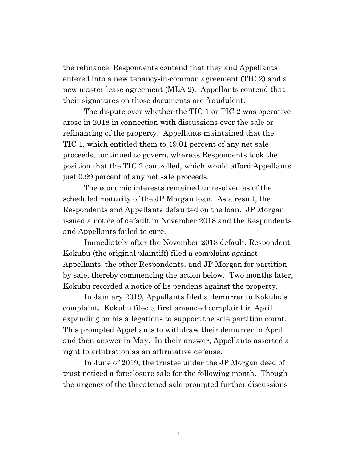the refinance, Respondents contend that they and Appellants entered into a new tenancy-in-common agreement (TIC 2) and a new master lease agreement (MLA 2). Appellants contend that their signatures on those documents are fraudulent.

The dispute over whether the TIC 1 or TIC 2 was operative arose in 2018 in connection with discussions over the sale or refinancing of the property. Appellants maintained that the TIC 1, which entitled them to 49.01 percent of any net sale proceeds, continued to govern, whereas Respondents took the position that the TIC 2 controlled, which would afford Appellants just 0.99 percent of any net sale proceeds.

The economic interests remained unresolved as of the scheduled maturity of the JP Morgan loan. As a result, the Respondents and Appellants defaulted on the loan. JP Morgan issued a notice of default in November 2018 and the Respondents and Appellants failed to cure.

Immediately after the November 2018 default, Respondent Kokubu (the original plaintiff) filed a complaint against Appellants, the other Respondents, and JP Morgan for partition by sale, thereby commencing the action below. Two months later, Kokubu recorded a notice of lis pendens against the property.

In January 2019, Appellants filed a demurrer to Kokubu's complaint. Kokubu filed a first amended complaint in April expanding on his allegations to support the sole partition count. This prompted Appellants to withdraw their demurrer in April and then answer in May. In their answer, Appellants asserted a right to arbitration as an affirmative defense.

In June of 2019, the trustee under the JP Morgan deed of trust noticed a foreclosure sale for the following month. Though the urgency of the threatened sale prompted further discussions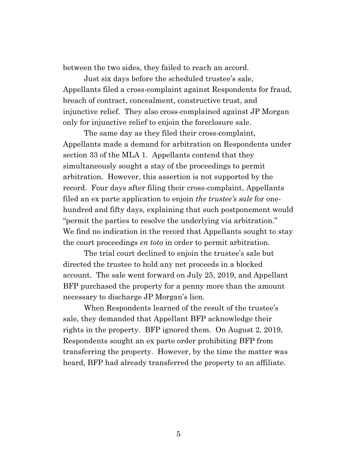between the two sides, they failed to reach an accord.

Just six days before the scheduled trustee's sale, Appellants filed a cross-complaint against Respondents for fraud, breach of contract, concealment, constructive trust, and injunctive relief. They also cross-complained against JP Morgan only for injunctive relief to enjoin the foreclosure sale.

The same day as they filed their cross-complaint, Appellants made a demand for arbitration on Respondents under section 33 of the MLA 1. Appellants contend that they simultaneously sought a stay of the proceedings to permit arbitration. However, this assertion is not supported by the record. Four days after filing their cross-complaint, Appellants filed an ex parte application to enjoin *the trustee's sale* for onehundred and fifty days, explaining that such postponement would "permit the parties to resolve the underlying via arbitration." We find no indication in the record that Appellants sought to stay the court proceedings *en toto* in order to permit arbitration.

The trial court declined to enjoin the trustee's sale but directed the trustee to hold any net proceeds in a blocked account. The sale went forward on July 25, 2019, and Appellant BFP purchased the property for a penny more than the amount necessary to discharge JP Morgan's lien.

When Respondents learned of the result of the trustee's sale, they demanded that Appellant BFP acknowledge their rights in the property. BFP ignored them. On August 2, 2019, Respondents sought an ex parte order prohibiting BFP from transferring the property. However, by the time the matter was heard, BFP had already transferred the property to an affiliate.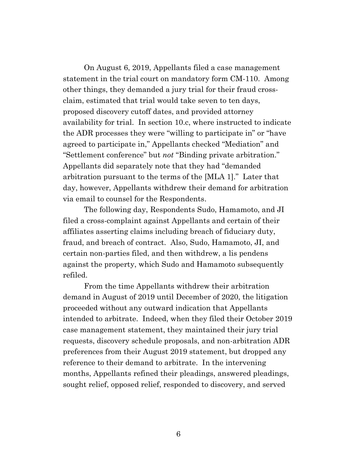On August 6, 2019, Appellants filed a case management statement in the trial court on mandatory form CM-110. Among other things, they demanded a jury trial for their fraud crossclaim, estimated that trial would take seven to ten days, proposed discovery cutoff dates, and provided attorney availability for trial. In section 10.c, where instructed to indicate the ADR processes they were "willing to participate in" or "have agreed to participate in," Appellants checked "Mediation" and "Settlement conference" but *not* "Binding private arbitration." Appellants did separately note that they had "demanded arbitration pursuant to the terms of the [MLA 1]." Later that day, however, Appellants withdrew their demand for arbitration via email to counsel for the Respondents.

The following day, Respondents Sudo, Hamamoto, and JI filed a cross-complaint against Appellants and certain of their affiliates asserting claims including breach of fiduciary duty, fraud, and breach of contract. Also, Sudo, Hamamoto, JI, and certain non-parties filed, and then withdrew, a lis pendens against the property, which Sudo and Hamamoto subsequently refiled.

From the time Appellants withdrew their arbitration demand in August of 2019 until December of 2020, the litigation proceeded without any outward indication that Appellants intended to arbitrate. Indeed, when they filed their October 2019 case management statement, they maintained their jury trial requests, discovery schedule proposals, and non-arbitration ADR preferences from their August 2019 statement, but dropped any reference to their demand to arbitrate. In the intervening months, Appellants refined their pleadings, answered pleadings, sought relief, opposed relief, responded to discovery, and served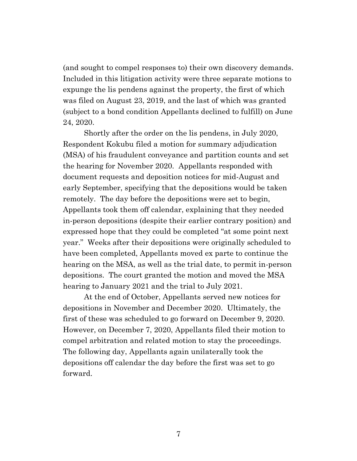(and sought to compel responses to) their own discovery demands. Included in this litigation activity were three separate motions to expunge the lis pendens against the property, the first of which was filed on August 23, 2019, and the last of which was granted (subject to a bond condition Appellants declined to fulfill) on June 24, 2020.

Shortly after the order on the lis pendens, in July 2020, Respondent Kokubu filed a motion for summary adjudication (MSA) of his fraudulent conveyance and partition counts and set the hearing for November 2020. Appellants responded with document requests and deposition notices for mid-August and early September, specifying that the depositions would be taken remotely. The day before the depositions were set to begin, Appellants took them off calendar, explaining that they needed in-person depositions (despite their earlier contrary position) and expressed hope that they could be completed "at some point next year." Weeks after their depositions were originally scheduled to have been completed, Appellants moved ex parte to continue the hearing on the MSA, as well as the trial date, to permit in-person depositions. The court granted the motion and moved the MSA hearing to January 2021 and the trial to July 2021.

At the end of October, Appellants served new notices for depositions in November and December 2020. Ultimately, the first of these was scheduled to go forward on December 9, 2020. However, on December 7, 2020, Appellants filed their motion to compel arbitration and related motion to stay the proceedings. The following day, Appellants again unilaterally took the depositions off calendar the day before the first was set to go forward.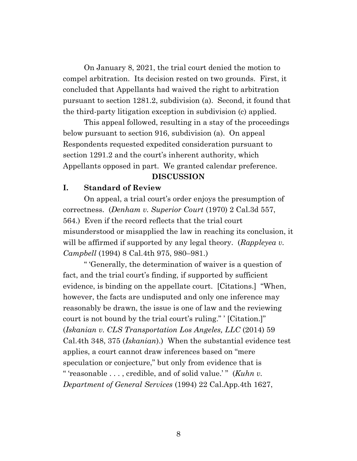On January 8, 2021, the trial court denied the motion to compel arbitration. Its decision rested on two grounds. First, it concluded that Appellants had waived the right to arbitration pursuant to section 1281.2, subdivision (a). Second, it found that the third-party litigation exception in subdivision (c) applied.

This appeal followed, resulting in a stay of the proceedings below pursuant to section 916, subdivision (a). On appeal Respondents requested expedited consideration pursuant to section 1291.2 and the court's inherent authority, which Appellants opposed in part. We granted calendar preference.

#### **DISCUSSION**

#### **I. Standard of Review**

On appeal, a trial court's order enjoys the presumption of correctness. (*Denham v. Superior Court* (1970) 2 Cal.3d 557, 564.) Even if the record reflects that the trial court misunderstood or misapplied the law in reaching its conclusion, it will be affirmed if supported by any legal theory. (*Rappleyea v. Campbell* (1994) 8 Cal.4th 975, 980–981.)

" 'Generally, the determination of waiver is a question of fact, and the trial court's finding, if supported by sufficient evidence, is binding on the appellate court. [Citations.] "When, however, the facts are undisputed and only one inference may reasonably be drawn, the issue is one of law and the reviewing court is not bound by the trial court's ruling." ' [Citation.]" (*Iskanian v. CLS Transportation Los Angeles, LLC* (2014) 59 Cal.4th 348, 375 (*Iskanian*).) When the substantial evidence test applies, a court cannot draw inferences based on "mere speculation or conjecture," but only from evidence that is " 'reasonable . . . , credible, and of solid value.' " (*Kuhn v. Department of General Services* (1994) 22 Cal.App.4th 1627,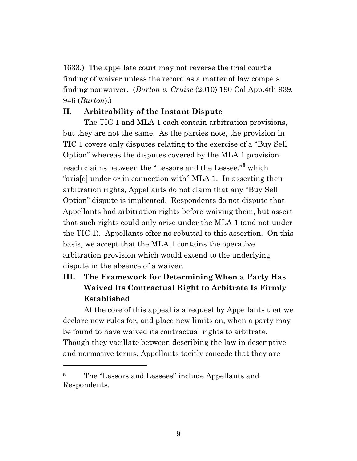1633.) The appellate court may not reverse the trial court's finding of waiver unless the record as a matter of law compels finding nonwaiver. (*Burton v. Cruise* (2010) 190 Cal.App.4th 939, 946 (*Burton*).)

### **II. Arbitrability of the Instant Dispute**

The TIC 1 and MLA 1 each contain arbitration provisions, but they are not the same. As the parties note, the provision in TIC 1 covers only disputes relating to the exercise of a "Buy Sell Option" whereas the disputes covered by the MLA 1 provision reach claims between the "Lessors and the Lessee,"**<sup>5</sup>** which "aris[e] under or in connection with" MLA 1. In asserting their arbitration rights, Appellants do not claim that any "Buy Sell Option" dispute is implicated. Respondents do not dispute that Appellants had arbitration rights before waiving them, but assert that such rights could only arise under the MLA 1 (and not under the TIC 1). Appellants offer no rebuttal to this assertion. On this basis, we accept that the MLA 1 contains the operative arbitration provision which would extend to the underlying dispute in the absence of a waiver.

# **III. The Framework for Determining When a Party Has Waived Its Contractual Right to Arbitrate Is Firmly Established**

At the core of this appeal is a request by Appellants that we declare new rules for, and place new limits on, when a party may be found to have waived its contractual rights to arbitrate. Though they vacillate between describing the law in descriptive and normative terms, Appellants tacitly concede that they are

<sup>&</sup>lt;sup>5</sup> The "Lessors and Lessees" include Appellants and Respondents.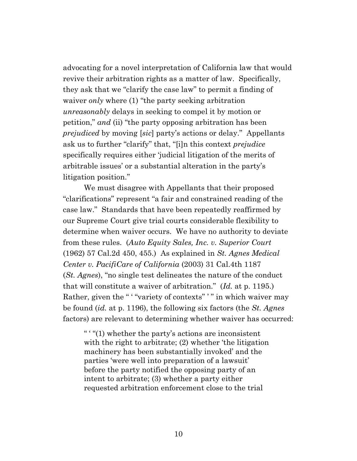advocating for a novel interpretation of California law that would revive their arbitration rights as a matter of law. Specifically, they ask that we "clarify the case law" to permit a finding of waiver *only* where (1) "the party seeking arbitration *unreasonably* delays in seeking to compel it by motion or petition," *and* (ii) "the party opposing arbitration has been *prejudiced* by moving [*sic*] party's actions or delay." Appellants ask us to further "clarify" that, "[i]n this context *prejudice*  specifically requires either 'judicial litigation of the merits of arbitrable issues' or a substantial alteration in the party's litigation position."

We must disagree with Appellants that their proposed "clarifications" represent "a fair and constrained reading of the case law." Standards that have been repeatedly reaffirmed by our Supreme Court give trial courts considerable flexibility to determine when waiver occurs. We have no authority to deviate from these rules. (*Auto Equity Sales, Inc. v. Superior Court* (1962) 57 Cal.2d 450, 455.) As explained in *St. Agnes Medical Center v. PacifiCare of California* (2003) 31 Cal.4th 1187 (*St. Agnes*), "no single test delineates the nature of the conduct that will constitute a waiver of arbitration." (*Id.* at p. 1195.) Rather, given the " "variety of contexts" " in which waiver may be found (*id.* at p. 1196), the following six factors (the *St. Agnes*  factors) are relevant to determining whether waiver has occurred:

" ' "(1) whether the party's actions are inconsistent with the right to arbitrate; (2) whether 'the litigation machinery has been substantially invoked' and the parties 'were well into preparation of a lawsuit' before the party notified the opposing party of an intent to arbitrate; (3) whether a party either requested arbitration enforcement close to the trial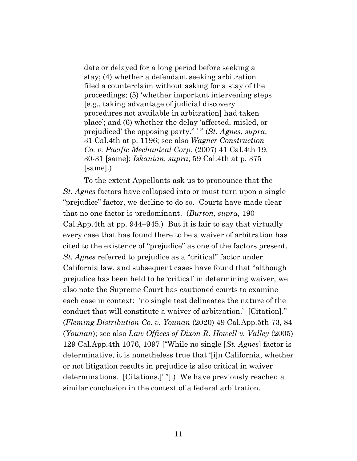date or delayed for a long period before seeking a stay; (4) whether a defendant seeking arbitration filed a counterclaim without asking for a stay of the proceedings; (5) 'whether important intervening steps [e.g., taking advantage of judicial discovery procedures not available in arbitration] had taken place'; and (6) whether the delay 'affected, misled, or prejudiced' the opposing party." ' " (*St. Agnes*, *supra*, 31 Cal.4th at p. 1196; see also *Wagner Construction Co. v. Pacific Mechanical Corp*. (2007) 41 Cal.4th 19, 30-31 [same]; *Iskanian, supra*, 59 Cal.4th at p. 375 [same].)

To the extent Appellants ask us to pronounce that the *St. Agnes* factors have collapsed into or must turn upon a single "prejudice" factor, we decline to do so. Courts have made clear that no one factor is predominant. (*Burton, supra,* 190 Cal.App.4th at pp. 944–945.) But it is fair to say that virtually every case that has found there to be a waiver of arbitration has cited to the existence of "prejudice" as one of the factors present. *St. Agnes* referred to prejudice as a "critical" factor under California law, and subsequent cases have found that "although prejudice has been held to be 'critical' in determining waiver, we also note the Supreme Court has cautioned courts to examine each case in context: 'no single test delineates the nature of the conduct that will constitute a waiver of arbitration.' [Citation]." (*Fleming Distribution Co. v. Younan* (2020) 49 Cal.App.5th 73, 84 (*Younan*); see also *Law Offices of Dixon R. Howell v. Valley* (2005) 129 Cal.App.4th 1076, 1097 ["While no single [*St. Agnes*] factor is determinative, it is nonetheless true that '[i]n California, whether or not litigation results in prejudice is also critical in waiver determinations. [Citations.]' "].) We have previously reached a similar conclusion in the context of a federal arbitration.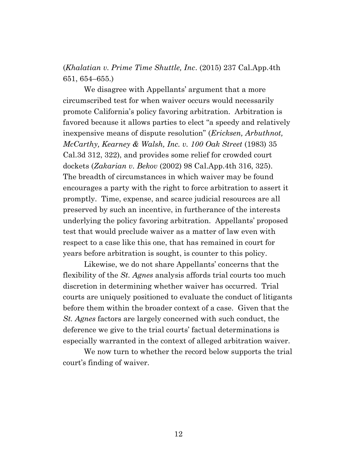(*Khalatian v. Prime Time Shuttle, Inc*. (2015) 237 Cal.App.4th 651, 654–655.)

We disagree with Appellants' argument that a more circumscribed test for when waiver occurs would necessarily promote California's policy favoring arbitration. Arbitration is favored because it allows parties to elect "a speedy and relatively inexpensive means of dispute resolution" (*Ericksen, Arbuthnot, McCarthy, Kearney & Walsh, Inc. v. 100 Oak Street* (1983) 35 Cal.3d 312, 322), and provides some relief for crowded court dockets (*Zakarian v. Bekov* (2002) 98 Cal.App.4th 316, 325). The breadth of circumstances in which waiver may be found encourages a party with the right to force arbitration to assert it promptly. Time, expense, and scarce judicial resources are all preserved by such an incentive, in furtherance of the interests underlying the policy favoring arbitration. Appellants' proposed test that would preclude waiver as a matter of law even with respect to a case like this one, that has remained in court for years before arbitration is sought, is counter to this policy.

Likewise, we do not share Appellants' concerns that the flexibility of the *St. Agnes* analysis affords trial courts too much discretion in determining whether waiver has occurred. Trial courts are uniquely positioned to evaluate the conduct of litigants before them within the broader context of a case. Given that the *St. Agnes* factors are largely concerned with such conduct, the deference we give to the trial courts' factual determinations is especially warranted in the context of alleged arbitration waiver.

We now turn to whether the record below supports the trial court's finding of waiver.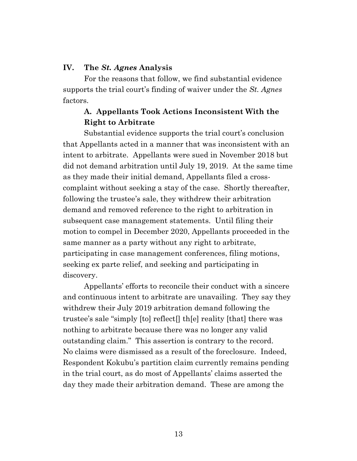#### **IV. The** *St. Agnes* **Analysis**

For the reasons that follow, we find substantial evidence supports the trial court's finding of waiver under the *St. Agnes*  factors.

## **A. Appellants Took Actions Inconsistent With the Right to Arbitrate**

Substantial evidence supports the trial court's conclusion that Appellants acted in a manner that was inconsistent with an intent to arbitrate. Appellants were sued in November 2018 but did not demand arbitration until July 19, 2019. At the same time as they made their initial demand, Appellants filed a crosscomplaint without seeking a stay of the case. Shortly thereafter, following the trustee's sale, they withdrew their arbitration demand and removed reference to the right to arbitration in subsequent case management statements. Until filing their motion to compel in December 2020, Appellants proceeded in the same manner as a party without any right to arbitrate, participating in case management conferences, filing motions, seeking ex parte relief, and seeking and participating in discovery.

Appellants' efforts to reconcile their conduct with a sincere and continuous intent to arbitrate are unavailing. They say they withdrew their July 2019 arbitration demand following the trustee's sale "simply [to] reflect[] th[e] reality [that] there was nothing to arbitrate because there was no longer any valid outstanding claim." This assertion is contrary to the record. No claims were dismissed as a result of the foreclosure. Indeed, Respondent Kokubu's partition claim currently remains pending in the trial court, as do most of Appellants' claims asserted the day they made their arbitration demand. These are among the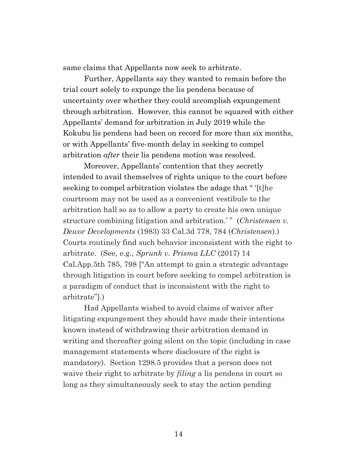same claims that Appellants now seek to arbitrate.

Further, Appellants say they wanted to remain before the trial court solely to expunge the lis pendens because of uncertainty over whether they could accomplish expungement through arbitration. However, this cannot be squared with either Appellants' demand for arbitration in July 2019 while the Kokubu lis pendens had been on record for more than six months, or with Appellants' five-month delay in seeking to compel arbitration *after* their lis pendens motion was resolved.

Moreover, Appellants' contention that they secretly intended to avail themselves of rights unique to the court before seeking to compel arbitration violates the adage that " '[t]he courtroom may not be used as a convenient vestibule to the arbitration hall so as to allow a party to create his own unique structure combining litigation and arbitration.'" (*Christensen v*. *Dewor Developments* (1983) 33 Cal.3d 778, 784 (*Christensen*)*.*) Courts routinely find such behavior inconsistent with the right to arbitrate. (See, e.g., *Sprunk v. Prisma LLC* (2017) 14 Cal.App.5th 785, 798 ["An attempt to gain a strategic advantage through litigation in court before seeking to compel arbitration is a paradigm of conduct that is inconsistent with the right to arbitrate"].)

Had Appellants wished to avoid claims of waiver after litigating expungement they should have made their intentions known instead of withdrawing their arbitration demand in writing and thereafter going silent on the topic (including in case management statements where disclosure of the right is mandatory). Section 1298.5 provides that a person does not waive their right to arbitrate by *filing* a lis pendens in court so long as they simultaneously seek to stay the action pending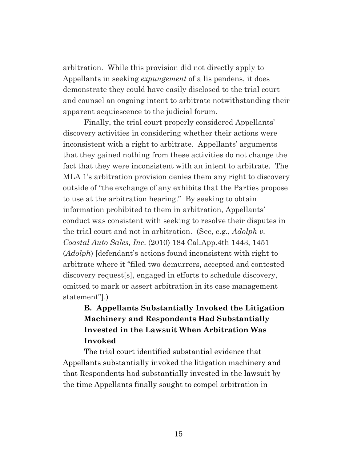arbitration. While this provision did not directly apply to Appellants in seeking *expungement* of a lis pendens, it does demonstrate they could have easily disclosed to the trial court and counsel an ongoing intent to arbitrate notwithstanding their apparent acquiescence to the judicial forum.

Finally, the trial court properly considered Appellants' discovery activities in considering whether their actions were inconsistent with a right to arbitrate. Appellants' arguments that they gained nothing from these activities do not change the fact that they were inconsistent with an intent to arbitrate. The MLA 1's arbitration provision denies them any right to discovery outside of "the exchange of any exhibits that the Parties propose to use at the arbitration hearing." By seeking to obtain information prohibited to them in arbitration, Appellants' conduct was consistent with seeking to resolve their disputes in the trial court and not in arbitration. (See, e.g., *Adolph v. Coastal Auto Sales, Inc*. (2010) 184 Cal.App.4th 1443, 1451 (*Adolph*) [defendant's actions found inconsistent with right to arbitrate where it "filed two demurrers, accepted and contested discovery request[s], engaged in efforts to schedule discovery, omitted to mark or assert arbitration in its case management statement"].)

# **B. Appellants Substantially Invoked the Litigation Machinery and Respondents Had Substantially Invested in the Lawsuit When Arbitration Was Invoked**

The trial court identified substantial evidence that Appellants substantially invoked the litigation machinery and that Respondents had substantially invested in the lawsuit by the time Appellants finally sought to compel arbitration in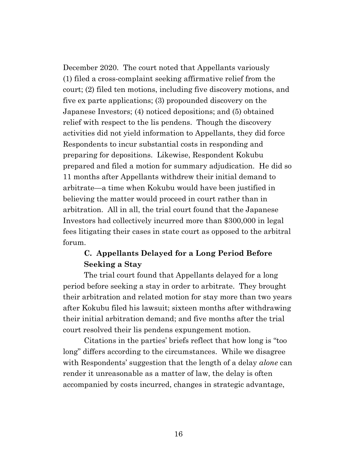December 2020. The court noted that Appellants variously (1) filed a cross-complaint seeking affirmative relief from the court; (2) filed ten motions, including five discovery motions, and five ex parte applications; (3) propounded discovery on the Japanese Investors; (4) noticed depositions; and (5) obtained relief with respect to the lis pendens. Though the discovery activities did not yield information to Appellants, they did force Respondents to incur substantial costs in responding and preparing for depositions. Likewise, Respondent Kokubu prepared and filed a motion for summary adjudication. He did so 11 months after Appellants withdrew their initial demand to arbitrate—a time when Kokubu would have been justified in believing the matter would proceed in court rather than in arbitration. All in all, the trial court found that the Japanese Investors had collectively incurred more than \$300,000 in legal fees litigating their cases in state court as opposed to the arbitral forum.

# **C. Appellants Delayed for a Long Period Before Seeking a Stay**

The trial court found that Appellants delayed for a long period before seeking a stay in order to arbitrate. They brought their arbitration and related motion for stay more than two years after Kokubu filed his lawsuit; sixteen months after withdrawing their initial arbitration demand; and five months after the trial court resolved their lis pendens expungement motion.

Citations in the parties' briefs reflect that how long is "too long" differs according to the circumstances. While we disagree with Respondents' suggestion that the length of a delay *alone* can render it unreasonable as a matter of law, the delay is often accompanied by costs incurred, changes in strategic advantage,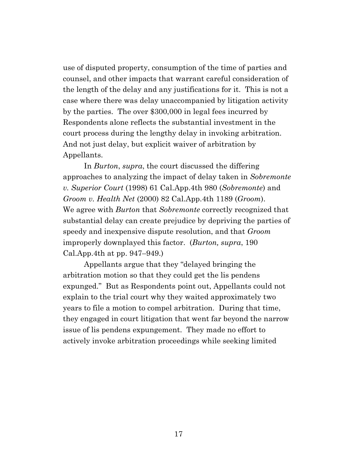use of disputed property, consumption of the time of parties and counsel, and other impacts that warrant careful consideration of the length of the delay and any justifications for it. This is not a case where there was delay unaccompanied by litigation activity by the parties. The over \$300,000 in legal fees incurred by Respondents alone reflects the substantial investment in the court process during the lengthy delay in invoking arbitration. And not just delay, but explicit waiver of arbitration by Appellants.

In *Burton*, *supra*, the court discussed the differing approaches to analyzing the impact of delay taken in *Sobremonte v. Superior Court* (1998) 61 Cal.App.4th 980 (*Sobremonte*) and *Groom v. Health Net* (2000) 82 Cal.App.4th 1189 (*Groom*). We agree with *Burton* that *Sobremonte* correctly recognized that substantial delay can create prejudice by depriving the parties of speedy and inexpensive dispute resolution, and that *Groom* improperly downplayed this factor. (*Burton, supra*, 190 Cal.App.4th at pp. 947–949.)

Appellants argue that they "delayed bringing the arbitration motion so that they could get the lis pendens expunged." But as Respondents point out, Appellants could not explain to the trial court why they waited approximately two years to file a motion to compel arbitration. During that time, they engaged in court litigation that went far beyond the narrow issue of lis pendens expungement. They made no effort to actively invoke arbitration proceedings while seeking limited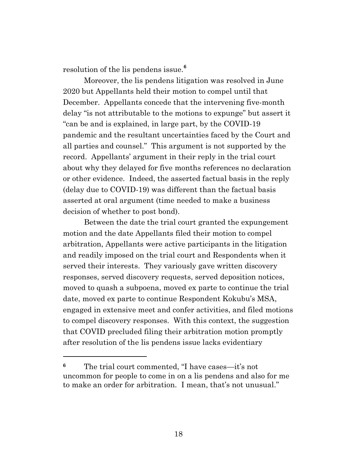resolution of the lis pendens issue.**<sup>6</sup>**

Moreover, the lis pendens litigation was resolved in June 2020 but Appellants held their motion to compel until that December. Appellants concede that the intervening five-month delay "is not attributable to the motions to expunge" but assert it "can be and is explained, in large part, by the COVID-19 pandemic and the resultant uncertainties faced by the Court and all parties and counsel." This argument is not supported by the record. Appellants' argument in their reply in the trial court about why they delayed for five months references no declaration or other evidence. Indeed, the asserted factual basis in the reply (delay due to COVID-19) was different than the factual basis asserted at oral argument (time needed to make a business decision of whether to post bond).

Between the date the trial court granted the expungement motion and the date Appellants filed their motion to compel arbitration, Appellants were active participants in the litigation and readily imposed on the trial court and Respondents when it served their interests. They variously gave written discovery responses, served discovery requests, served deposition notices, moved to quash a subpoena, moved ex parte to continue the trial date, moved ex parte to continue Respondent Kokubu's MSA, engaged in extensive meet and confer activities, and filed motions to compel discovery responses. With this context, the suggestion that COVID precluded filing their arbitration motion promptly after resolution of the lis pendens issue lacks evidentiary

**<sup>6</sup>** The trial court commented, "I have cases—it's not uncommon for people to come in on a lis pendens and also for me to make an order for arbitration. I mean, that's not unusual."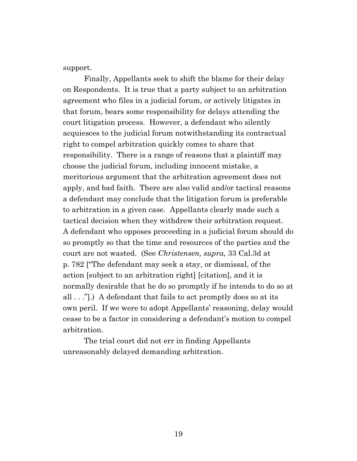support.

Finally, Appellants seek to shift the blame for their delay on Respondents. It is true that a party subject to an arbitration agreement who files in a judicial forum, or actively litigates in that forum, bears some responsibility for delays attending the court litigation process. However, a defendant who silently acquiesces to the judicial forum notwithstanding its contractual right to compel arbitration quickly comes to share that responsibility. There is a range of reasons that a plaintiff may choose the judicial forum, including innocent mistake, a meritorious argument that the arbitration agreement does not apply, and bad faith. There are also valid and/or tactical reasons a defendant may conclude that the litigation forum is preferable to arbitration in a given case. Appellants clearly made such a tactical decision when they withdrew their arbitration request. A defendant who opposes proceeding in a judicial forum should do so promptly so that the time and resources of the parties and the court are not wasted. (See *Christensen, supra,* 33 Cal.3d at p. 782 ["The defendant may seek a stay, or dismissal, of the action [subject to an arbitration right] [citation], and it is normally desirable that he do so promptly if he intends to do so at all . . ."].) A defendant that fails to act promptly does so at its own peril. If we were to adopt Appellants' reasoning, delay would cease to be a factor in considering a defendant's motion to compel arbitration.

The trial court did not err in finding Appellants unreasonably delayed demanding arbitration.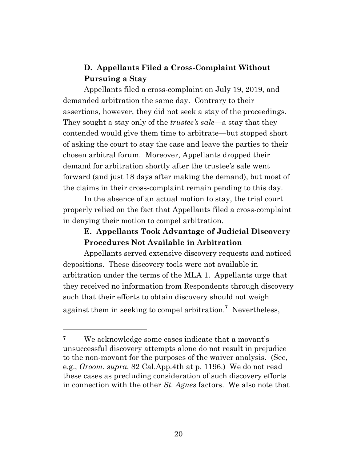# **D. Appellants Filed a Cross-Complaint Without Pursuing a Stay**

Appellants filed a cross-complaint on July 19, 2019, and demanded arbitration the same day. Contrary to their assertions, however, they did not seek a stay of the proceedings. They sought a stay only of the *trustee's sale*—a stay that they contended would give them time to arbitrate—but stopped short of asking the court to stay the case and leave the parties to their chosen arbitral forum. Moreover, Appellants dropped their demand for arbitration shortly after the trustee's sale went forward (and just 18 days after making the demand), but most of the claims in their cross-complaint remain pending to this day.

In the absence of an actual motion to stay, the trial court properly relied on the fact that Appellants filed a cross-complaint in denying their motion to compel arbitration.

# **E. Appellants Took Advantage of Judicial Discovery Procedures Not Available in Arbitration**

Appellants served extensive discovery requests and noticed depositions. These discovery tools were not available in arbitration under the terms of the MLA 1. Appellants urge that they received no information from Respondents through discovery such that their efforts to obtain discovery should not weigh against them in seeking to compel arbitration.**<sup>7</sup>** Nevertheless,

**<sup>7</sup>** We acknowledge some cases indicate that a movant's unsuccessful discovery attempts alone do not result in prejudice to the non-movant for the purposes of the waiver analysis. (See, e.g., *Groom*, *supra*, 82 Cal.App.4th at p. 1196.) We do not read these cases as precluding consideration of such discovery efforts in connection with the other *St. Agnes* factors. We also note that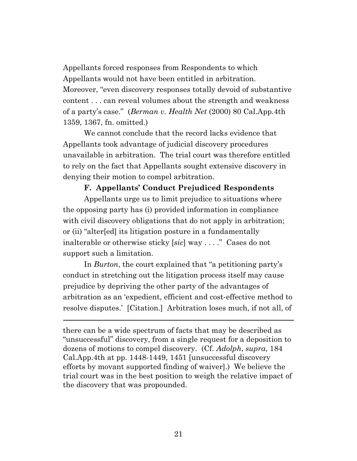Appellants forced responses from Respondents to which Appellants would not have been entitled in arbitration. Moreover, "even discovery responses totally devoid of substantive content . . . can reveal volumes about the strength and weakness of a party's case." (*Berman v. Health Net* (2000) 80 Cal.App.4th 1359, 1367, fn. omitted.)

We cannot conclude that the record lacks evidence that Appellants took advantage of judicial discovery procedures unavailable in arbitration. The trial court was therefore entitled to rely on the fact that Appellants sought extensive discovery in denying their motion to compel arbitration.

#### **F. Appellants' Conduct Prejudiced Respondents**

Appellants urge us to limit prejudice to situations where the opposing party has (i) provided information in compliance with civil discovery obligations that do not apply in arbitration; or (ii) "alter[ed] its litigation posture in a fundamentally inalterable or otherwise sticky [*sic*] way . . . ." Cases do not support such a limitation.

In *Burton*, the court explained that "a petitioning party's conduct in stretching out the litigation process itself may cause prejudice by depriving the other party of the advantages of arbitration as an 'expedient, efficient and cost-effective method to resolve disputes.' [Citation.] Arbitration loses much, if not all, of

there can be a wide spectrum of facts that may be described as "unsuccessful" discovery, from a single request for a deposition to dozens of motions to compel discovery. (Cf. *Adolph*, *supra*, 184 Cal.App.4th at pp. 1448-1449, 1451 [unsuccessful discovery efforts by movant supported finding of waiver].) We believe the trial court was in the best position to weigh the relative impact of the discovery that was propounded.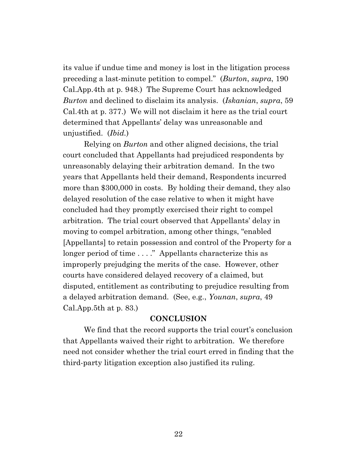its value if undue time and money is lost in the litigation process preceding a last-minute petition to compel." (*Burton*, *supra*, 190 Cal.App.4th at p. 948.) The Supreme Court has acknowledged *Burton* and declined to disclaim its analysis. (*Iskanian*, *supra*, 59 Cal.4th at p. 377.) We will not disclaim it here as the trial court determined that Appellants' delay was unreasonable and unjustified. (*Ibid.*)

Relying on *Burton* and other aligned decisions, the trial court concluded that Appellants had prejudiced respondents by unreasonably delaying their arbitration demand. In the two years that Appellants held their demand, Respondents incurred more than \$300,000 in costs. By holding their demand, they also delayed resolution of the case relative to when it might have concluded had they promptly exercised their right to compel arbitration. The trial court observed that Appellants' delay in moving to compel arbitration, among other things, "enabled [Appellants] to retain possession and control of the Property for a longer period of time . . . ." Appellants characterize this as improperly prejudging the merits of the case. However, other courts have considered delayed recovery of a claimed, but disputed, entitlement as contributing to prejudice resulting from a delayed arbitration demand. (See, e.g., *Younan*, *supra*, 49 Cal.App.5th at p. 83.)

#### **CONCLUSION**

We find that the record supports the trial court's conclusion that Appellants waived their right to arbitration. We therefore need not consider whether the trial court erred in finding that the third-party litigation exception also justified its ruling.